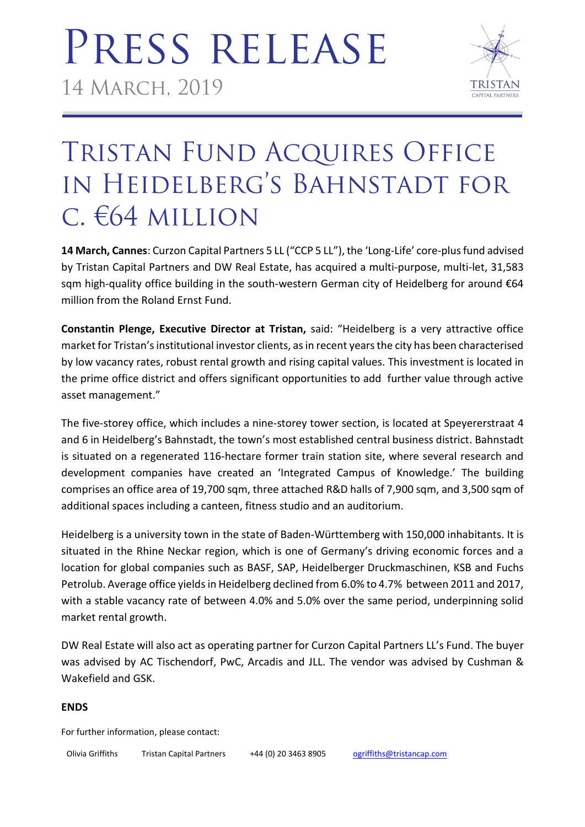

## TRISTAN FUND ACQUIRES OFFICE IN HEIDELBERG'S BAHNSTADT FOR C. €64 MILLION

**14 March, Cannes**: Curzon Capital Partners 5 LL ("CCP 5 LL"), the 'Long-Life' core-plus fund advised by Tristan Capital Partners and DW Real Estate, has acquired a multi-purpose, multi-let, 31,583 sqm high-quality office building in the south-western German city of Heidelberg for around €64 million from the Roland Ernst Fund.

**Constantin Plenge, Executive Director at Tristan,** said: "Heidelberg is a very attractive office market for Tristan's institutional investor clients, as in recent years the city has been characterised by low vacancy rates, robust rental growth and rising capital values. This investment is located in the prime office district and offers significant opportunities to add further value through active asset management."

The five-storey office, which includes a nine-storey tower section, is located at Speyererstraat 4 and 6 in Heidelberg's Bahnstadt, the town's most established central business district. Bahnstadt is situated on a regenerated 116-hectare former train station site, where several research and development companies have created an 'Integrated Campus of Knowledge.' The building comprises an office area of 19,700 sqm, three attached R&D halls of 7,900 sqm, and 3,500 sqm of additional spaces including a canteen, fitness studio and an auditorium.

Heidelberg is a university town in the state of Baden-Württemberg with 150,000 inhabitants. It is situated in the Rhine Neckar region, which is one of Germany's driving economic forces and a location for global companies such as BASF, SAP, Heidelberger Druckmaschinen, KSB and Fuchs Petrolub. Average office yields in Heidelberg declined from 6.0% to 4.7% between 2011 and 2017, with a stable vacancy rate of between 4.0% and 5.0% over the same period, underpinning solid market rental growth.

DW Real Estate will also act as operating partner for Curzon Capital Partners LL's Fund. The buyer was advised by AC Tischendorf, PwC, Arcadis and JLL. The vendor was advised by Cushman & Wakefield and GSK.

## **ENDS**

For further information, please contact:

| Olivia Griffiths |  |
|------------------|--|
|------------------|--|